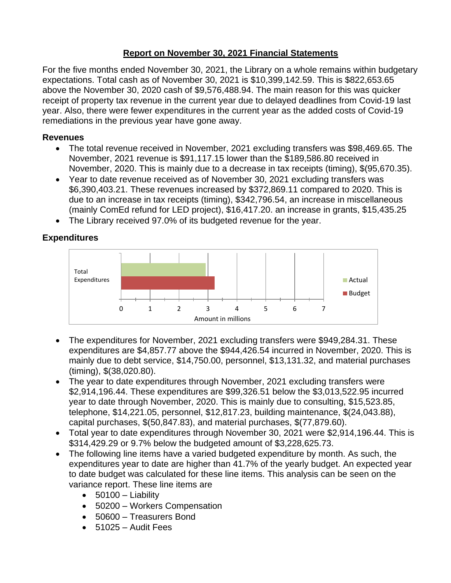## **Report on November 30, 2021 Financial Statements**

For the five months ended November 30, 2021, the Library on a whole remains within budgetary expectations. Total cash as of November 30, 2021 is \$10,399,142.59. This is \$822,653.65 above the November 30, 2020 cash of \$9,576,488.94. The main reason for this was quicker receipt of property tax revenue in the current year due to delayed deadlines from Covid-19 last year. Also, there were fewer expenditures in the current year as the added costs of Covid-19 remediations in the previous year have gone away.

## **Revenues**

- The total revenue received in November, 2021 excluding transfers was \$98,469.65. The November, 2021 revenue is \$91,117.15 lower than the \$189,586.80 received in November, 2020. This is mainly due to a decrease in tax receipts (timing), \$(95,670.35).
- Year to date revenue received as of November 30, 2021 excluding transfers was \$6,390,403.21. These revenues increased by \$372,869.11 compared to 2020. This is due to an increase in tax receipts (timing), \$342,796.54, an increase in miscellaneous (mainly ComEd refund for LED project), \$16,417.20. an increase in grants, \$15,435.25
- The Library received 97.0% of its budgeted revenue for the year.

## **Expenditures**



- The expenditures for November, 2021 excluding transfers were \$949,284.31. These expenditures are \$4,857.77 above the \$944,426.54 incurred in November, 2020. This is mainly due to debt service, \$14,750.00, personnel, \$13,131.32, and material purchases (timing), \$(38,020.80).
- The year to date expenditures through November, 2021 excluding transfers were \$2,914,196.44. These expenditures are \$99,326.51 below the \$3,013,522.95 incurred year to date through November, 2020. This is mainly due to consulting, \$15,523.85, telephone, \$14,221.05, personnel, \$12,817.23, building maintenance, \$(24,043.88), capital purchases, \$(50,847.83), and material purchases, \$(77,879.60).
- Total year to date expenditures through November 30, 2021 were \$2,914,196.44. This is \$314,429.29 or 9.7% below the budgeted amount of \$3,228,625.73.
- The following line items have a varied budgeted expenditure by month. As such, the expenditures year to date are higher than 41.7% of the yearly budget. An expected year to date budget was calculated for these line items. This analysis can be seen on the variance report. These line items are
	- $\bullet$  50100 Liability
	- 50200 Workers Compensation
	- 50600 Treasurers Bond
	- 51025 Audit Fees